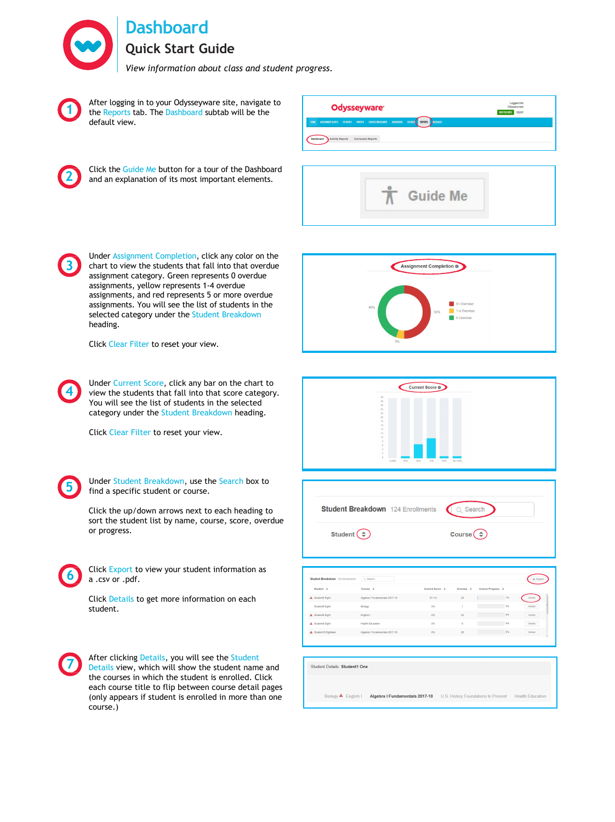**Dashboard**

**Quick Start Guide**

*View information about class and student progress.*



**2**

After logging in to your Odysseyware site, navigate to the Reports tab. The Dashboard subtab will be the default view.

Click the Guide Me button for a tour of the Dashboard and an explanation of its most important elements.







Click Clear Filter to reset your view.

**4** Under Current Score, click any bar on the chart to view the students that fall into that score category. You will see the list of students in the selected category under the Student Breakdown heading.

Click Clear Filter to reset your view.



Under Student Breakdown, use the Search box to find a specific student or course.

Click the up/down arrows next to each heading to sort the student list by name, course, score, overdue or progress.



Click Export to view your student information as a .csv or .pdf.

Click Details to get more information on each student.



After clicking Details, you will see the Student Details view, which will show the student name and the courses in which the student is enrolled. Click each course title to flip between course detail pages (only appears if student is enrolled in more than one course.)







| Student Breakdown 124 Enrollments | Q Search                       |                         |                |                        | 소 Export       |
|-----------------------------------|--------------------------------|-------------------------|----------------|------------------------|----------------|
| Student $\hat{z}$                 | Course $\div$                  | Current Score $\hat{z}$ | Overdue $\div$ | Course Progress $\div$ |                |
| A Student8 Eight                  | Algebra I Fundamentals 2017-18 | 57.1%                   | 20             | 1%                     | Details        |
| Student8 Eight                    | Biology                        | 0%                      |                | 0%                     | <b>Details</b> |
| A Student8 Eight                  | English I                      | 0%                      | 22             | 0%                     | <b>Details</b> |
| A Student8 Eight                  | Health Education               | 0%                      | 6              | 0%                     | Details        |
| Student18 Eighteen                | Algebra I Fundamentals 2017-18 | 0%                      | 20             | 0%                     | <b>Details</b> |

Biology <a>
Figlish | Algebra | Fundamentals 2017-18 U.S. History Foundations to Present Health Education